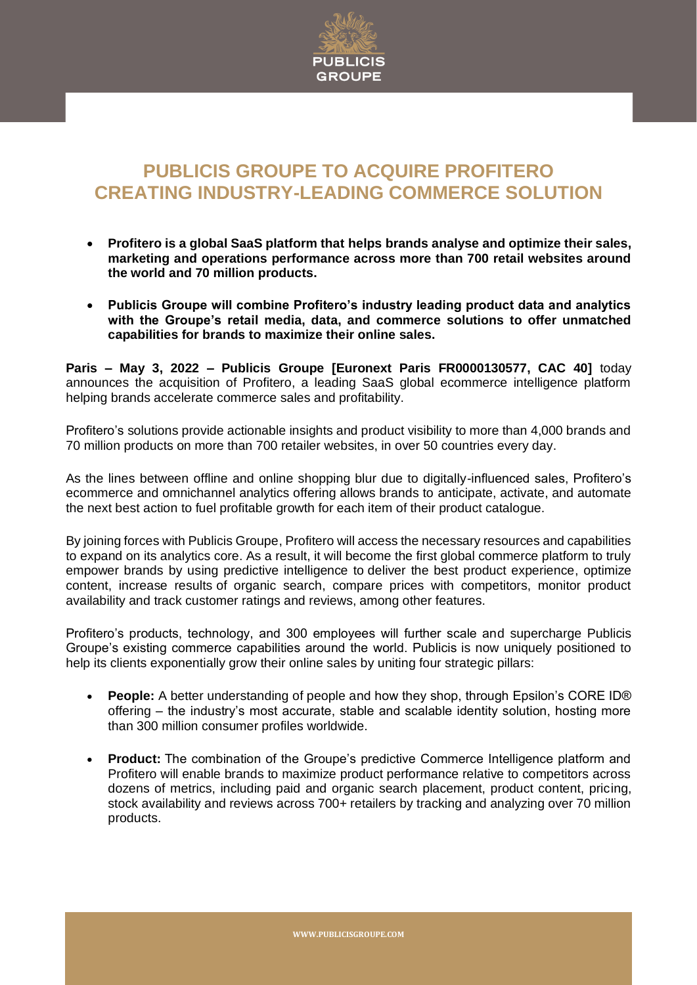

## **PUBLICIS GROUPE TO ACQUIRE PROFITERO CREATING INDUSTRY-LEADING COMMERCE SOLUTION**

- **Profitero is a global SaaS platform that helps brands analyse and optimize their sales, marketing and operations performance across more than 700 retail websites around the world and 70 million products.**
- **Publicis Groupe will combine Profitero's industry leading product data and analytics with the Groupe's retail media, data, and commerce solutions to offer unmatched capabilities for brands to maximize their online sales.**

**Paris – May 3, 2022 – Publicis Groupe [Euronext Paris FR0000130577, CAC 40]** today announces the acquisition of Profitero, a leading SaaS global ecommerce intelligence platform helping brands accelerate commerce sales and profitability.

Profitero's solutions provide actionable insights and product visibility to more than 4,000 brands and 70 million products on more than 700 retailer websites, in over 50 countries every day.

As the lines between offline and online shopping blur due to digitally-influenced sales, Profitero's ecommerce and omnichannel analytics offering allows brands to anticipate, activate, and automate the next best action to fuel profitable growth for each item of their product catalogue.

By joining forces with Publicis Groupe, Profitero will access the necessary resources and capabilities to expand on its analytics core. As a result, it will become the first global commerce platform to truly empower brands by using predictive intelligence to deliver the best product experience, optimize content, increase results of organic search, compare prices with competitors, monitor product availability and track customer ratings and reviews, among other features.

Profitero's products, technology, and 300 employees will further scale and supercharge Publicis Groupe's existing commerce capabilities around the world. Publicis is now uniquely positioned to help its clients exponentially grow their online sales by uniting four strategic pillars:

- **People:** A better understanding of people and how they shop, through Epsilon's CORE ID® offering – the industry's most accurate, stable and scalable identity solution, hosting more than 300 million consumer profiles worldwide.
- **Product:** The combination of the Groupe's predictive Commerce Intelligence platform and Profitero will enable brands to maximize product performance relative to competitors across dozens of metrics, including paid and organic search placement, product content, pricing, stock availability and reviews across 700+ retailers by tracking and analyzing over 70 million products.